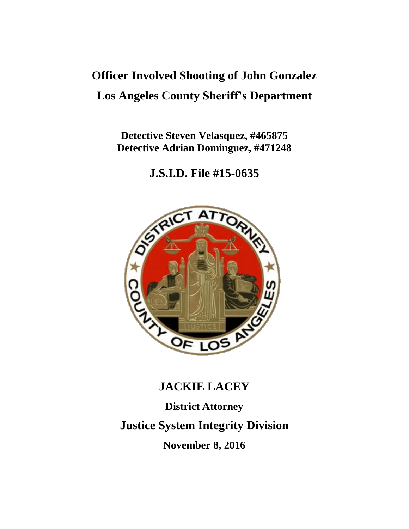# **Officer Involved Shooting of John Gonzalez Los Angeles County Sheriff's Department**

**Detective Steven Velasquez, #465875 Detective Adrian Dominguez, #471248**

**J.S.I.D. File #15-0635**



## **JACKIE LACEY**

**District Attorney Justice System Integrity Division November 8, 2016**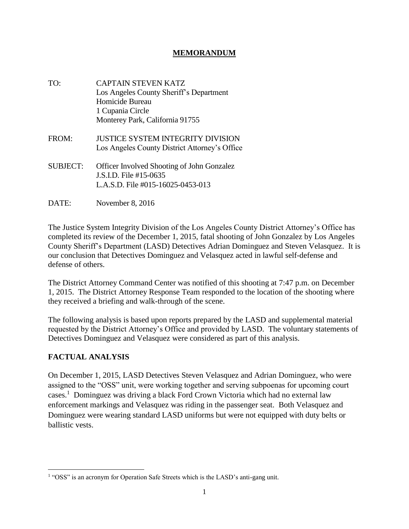#### **MEMORANDUM**

- TO: CAPTAIN STEVEN KATZ Los Angeles County Sheriff's Department Homicide Bureau 1 Cupania Circle Monterey Park, California 91755
- FROM: JUSTICE SYSTEM INTEGRITY DIVISION Los Angeles County District Attorney's Office
- SUBJECT: Officer Involved Shooting of John Gonzalez J.S.I.D. File #15-0635 L.A.S.D. File #015-16025-0453-013
- DATE: November 8, 2016

The Justice System Integrity Division of the Los Angeles County District Attorney's Office has completed its review of the December 1, 2015, fatal shooting of John Gonzalez by Los Angeles County Sheriff's Department (LASD) Detectives Adrian Dominguez and Steven Velasquez. It is our conclusion that Detectives Dominguez and Velasquez acted in lawful self-defense and defense of others.

The District Attorney Command Center was notified of this shooting at 7:47 p.m. on December 1, 2015. The District Attorney Response Team responded to the location of the shooting where they received a briefing and walk-through of the scene.

The following analysis is based upon reports prepared by the LASD and supplemental material requested by the District Attorney's Office and provided by LASD. The voluntary statements of Detectives Dominguez and Velasquez were considered as part of this analysis.

### **FACTUAL ANALYSIS**

On December 1, 2015, LASD Detectives Steven Velasquez and Adrian Dominguez, who were assigned to the "OSS" unit, were working together and serving subpoenas for upcoming court cases.<sup>1</sup> Dominguez was driving a black Ford Crown Victoria which had no external law enforcement markings and Velasquez was riding in the passenger seat. Both Velasquez and Dominguez were wearing standard LASD uniforms but were not equipped with duty belts or ballistic vests.

 $\overline{\phantom{a}}$ <sup>1</sup> "OSS" is an acronym for Operation Safe Streets which is the LASD's anti-gang unit.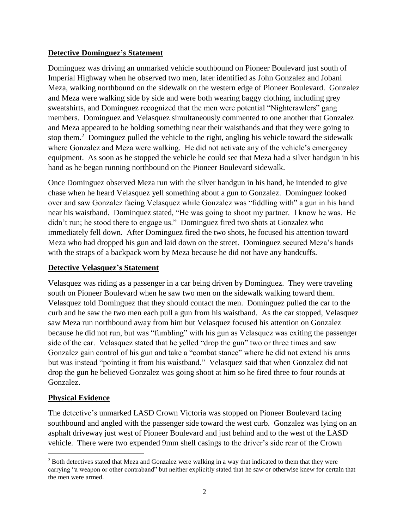### **Detective Dominguez's Statement**

Dominguez was driving an unmarked vehicle southbound on Pioneer Boulevard just south of Imperial Highway when he observed two men, later identified as John Gonzalez and Jobani Meza, walking northbound on the sidewalk on the western edge of Pioneer Boulevard. Gonzalez and Meza were walking side by side and were both wearing baggy clothing, including grey sweatshirts, and Dominguez recognized that the men were potential "Nightcrawlers" gang members. Dominguez and Velasquez simultaneously commented to one another that Gonzalez and Meza appeared to be holding something near their waistbands and that they were going to stop them.<sup>2</sup> Dominguez pulled the vehicle to the right, angling his vehicle toward the sidewalk where Gonzalez and Meza were walking. He did not activate any of the vehicle's emergency equipment. As soon as he stopped the vehicle he could see that Meza had a silver handgun in his hand as he began running northbound on the Pioneer Boulevard sidewalk.

Once Dominguez observed Meza run with the silver handgun in his hand, he intended to give chase when he heard Velasquez yell something about a gun to Gonzalez. Dominguez looked over and saw Gonzalez facing Velasquez while Gonzalez was "fiddling with" a gun in his hand near his waistband. Dominquez stated, "He was going to shoot my partner. I know he was. He didn't run; he stood there to engage us." Dominguez fired two shots at Gonzalez who immediately fell down. After Dominguez fired the two shots, he focused his attention toward Meza who had dropped his gun and laid down on the street. Dominguez secured Meza's hands with the straps of a backpack worn by Meza because he did not have any handcuffs.

### **Detective Velasquez's Statement**

Velasquez was riding as a passenger in a car being driven by Dominguez. They were traveling south on Pioneer Boulevard when he saw two men on the sidewalk walking toward them. Velasquez told Dominguez that they should contact the men. Dominguez pulled the car to the curb and he saw the two men each pull a gun from his waistband. As the car stopped, Velasquez saw Meza run northbound away from him but Velasquez focused his attention on Gonzalez because he did not run, but was "fumbling" with his gun as Velasquez was exiting the passenger side of the car. Velasquez stated that he yelled "drop the gun" two or three times and saw Gonzalez gain control of his gun and take a "combat stance" where he did not extend his arms but was instead "pointing it from his waistband." Velasquez said that when Gonzalez did not drop the gun he believed Gonzalez was going shoot at him so he fired three to four rounds at Gonzalez.

### **Physical Evidence**

The detective's unmarked LASD Crown Victoria was stopped on Pioneer Boulevard facing southbound and angled with the passenger side toward the west curb. Gonzalez was lying on an asphalt driveway just west of Pioneer Boulevard and just behind and to the west of the LASD vehicle. There were two expended 9mm shell casings to the driver's side rear of the Crown

<sup>&</sup>lt;sup>2</sup> Both detectives stated that Meza and Gonzalez were walking in a way that indicated to them that they were carrying "a weapon or other contraband" but neither explicitly stated that he saw or otherwise knew for certain that the men were armed.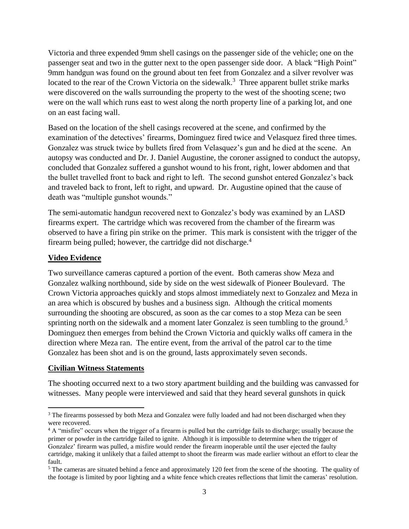Victoria and three expended 9mm shell casings on the passenger side of the vehicle; one on the passenger seat and two in the gutter next to the open passenger side door. A black "High Point" 9mm handgun was found on the ground about ten feet from Gonzalez and a silver revolver was located to the rear of the Crown Victoria on the sidewalk.<sup>3</sup> Three apparent bullet strike marks were discovered on the walls surrounding the property to the west of the shooting scene; two were on the wall which runs east to west along the north property line of a parking lot, and one on an east facing wall.

Based on the location of the shell casings recovered at the scene, and confirmed by the examination of the detectives' firearms, Dominguez fired twice and Velasquez fired three times. Gonzalez was struck twice by bullets fired from Velasquez's gun and he died at the scene. An autopsy was conducted and Dr. J. Daniel Augustine, the coroner assigned to conduct the autopsy, concluded that Gonzalez suffered a gunshot wound to his front, right, lower abdomen and that the bullet travelled front to back and right to left. The second gunshot entered Gonzalez's back and traveled back to front, left to right, and upward. Dr. Augustine opined that the cause of death was "multiple gunshot wounds."

The semi-automatic handgun recovered next to Gonzalez's body was examined by an LASD firearms expert. The cartridge which was recovered from the chamber of the firearm was observed to have a firing pin strike on the primer. This mark is consistent with the trigger of the firearm being pulled; however, the cartridge did not discharge.<sup>4</sup>

#### **Video Evidence**

Two surveillance cameras captured a portion of the event. Both cameras show Meza and Gonzalez walking northbound, side by side on the west sidewalk of Pioneer Boulevard. The Crown Victoria approaches quickly and stops almost immediately next to Gonzalez and Meza in an area which is obscured by bushes and a business sign. Although the critical moments surrounding the shooting are obscured, as soon as the car comes to a stop Meza can be seen sprinting north on the sidewalk and a moment later Gonzalez is seen tumbling to the ground.<sup>5</sup> Dominguez then emerges from behind the Crown Victoria and quickly walks off camera in the direction where Meza ran. The entire event, from the arrival of the patrol car to the time Gonzalez has been shot and is on the ground, lasts approximately seven seconds.

#### **Civilian Witness Statements**

The shooting occurred next to a two story apartment building and the building was canvassed for witnesses. Many people were interviewed and said that they heard several gunshots in quick

<sup>&</sup>lt;sup>3</sup> The firearms possessed by both Meza and Gonzalez were fully loaded and had not been discharged when they were recovered.

<sup>&</sup>lt;sup>4</sup> A "misfire" occurs when the trigger of a firearm is pulled but the cartridge fails to discharge; usually because the primer or powder in the cartridge failed to ignite. Although it is impossible to determine when the trigger of Gonzalez' firearm was pulled, a misfire would render the firearm inoperable until the user ejected the faulty cartridge, making it unlikely that a failed attempt to shoot the firearm was made earlier without an effort to clear the fault.

<sup>&</sup>lt;sup>5</sup> The cameras are situated behind a fence and approximately 120 feet from the scene of the shooting. The quality of the footage is limited by poor lighting and a white fence which creates reflections that limit the cameras' resolution.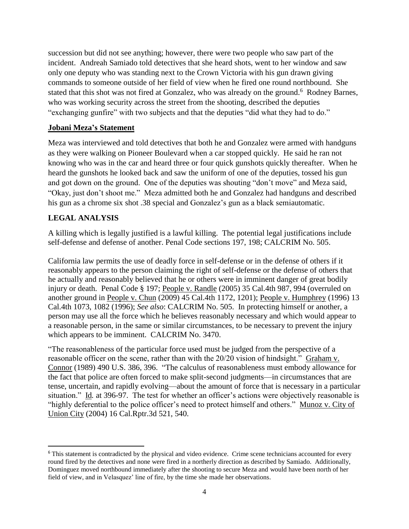succession but did not see anything; however, there were two people who saw part of the incident. Andreah Samiado told detectives that she heard shots, went to her window and saw only one deputy who was standing next to the Crown Victoria with his gun drawn giving commands to someone outside of her field of view when he fired one round northbound. She stated that this shot was not fired at Gonzalez, who was already on the ground.<sup>6</sup> Rodney Barnes, who was working security across the street from the shooting, described the deputies "exchanging gunfire" with two subjects and that the deputies "did what they had to do."

#### **Jobani Meza's Statement**

Meza was interviewed and told detectives that both he and Gonzalez were armed with handguns as they were walking on Pioneer Boulevard when a car stopped quickly. He said he ran not knowing who was in the car and heard three or four quick gunshots quickly thereafter. When he heard the gunshots he looked back and saw the uniform of one of the deputies, tossed his gun and got down on the ground. One of the deputies was shouting "don't move" and Meza said, "Okay, just don't shoot me." Meza admitted both he and Gonzalez had handguns and described his gun as a chrome six shot .38 special and Gonzalez's gun as a black semiautomatic.

### **LEGAL ANALYSIS**

A killing which is legally justified is a lawful killing. The potential legal justifications include self-defense and defense of another. Penal Code sections 197, 198; CALCRIM No. 505.

California law permits the use of deadly force in self-defense or in the defense of others if it reasonably appears to the person claiming the right of self-defense or the defense of others that he actually and reasonably believed that he or others were in imminent danger of great bodily injury or death. Penal Code § 197; People v. Randle (2005) 35 Cal.4th 987, 994 (overruled on another ground in People v. Chun (2009) 45 Cal.4th 1172, 1201); People v. Humphrey (1996) 13 Cal.4th 1073, 1082 (1996); *See also*: CALCRIM No. 505. In protecting himself or another, a person may use all the force which he believes reasonably necessary and which would appear to a reasonable person, in the same or similar circumstances, to be necessary to prevent the injury which appears to be imminent. CALCRIM No. 3470.

"The reasonableness of the particular force used must be judged from the perspective of a reasonable officer on the scene, rather than with the 20/20 vision of hindsight." Graham v. Connor (1989) 490 U.S. 386, 396. "The calculus of reasonableness must embody allowance for the fact that police are often forced to make split-second judgments—in circumstances that are tense, uncertain, and rapidly evolving—about the amount of force that is necessary in a particular situation." Id*.* at 396-97. The test for whether an officer's actions were objectively reasonable is "highly deferential to the police officer's need to protect himself and others." Munoz v. City of Union City (2004) 16 Cal.Rptr.3d 521, 540.

<sup>&</sup>lt;sup>6</sup> This statement is contradicted by the physical and video evidence. Crime scene technicians accounted for every round fired by the detectives and none were fired in a northerly direction as described by Samiado. Additionally, Dominguez moved northbound immediately after the shooting to secure Meza and would have been north of her field of view, and in Velasquez' line of fire, by the time she made her observations.